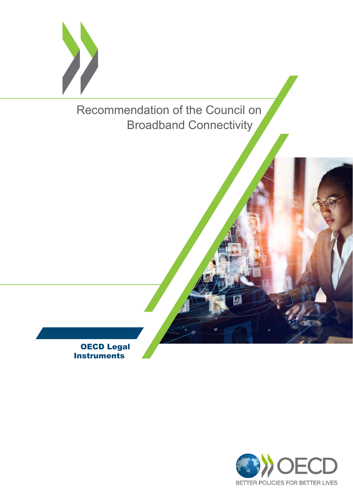

Recommendation of the Council on Broadband Connectivity

OECD Legal **Instruments** 

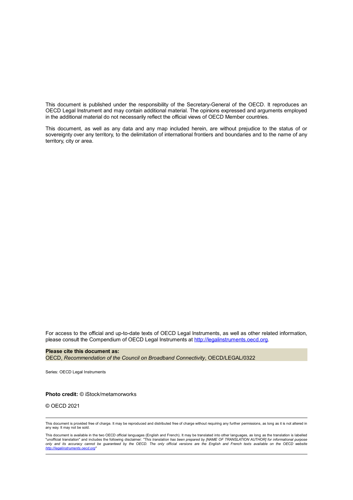This document is published under the responsibility of the Secretary-General of the OECD. It reproduces an OECD Legal Instrument and may contain additional material. The opinions expressed and arguments employed in the additional material do not necessarily reflect the official views of OECD Member countries.

This document, as well as any data and any map included herein, are without prejudice to the status of or sovereignty over any territory, to the delimitation of international frontiers and boundaries and to the name of any territory, city or area.

For access to the official and up-to-date texts of OECD Legal Instruments, as well as other related information, please consult the Compendium of OECD Legal Instruments at [http://legalinstruments.oecd.org.](http://legalinstruments.oecd.org)

**Please cite this document as:**

OECD, *Recommendation of the Council on Broadband Connectivity*, OECD/LEGAL/0322

Series: OECD Legal Instruments

#### **Photo credit:** © iStock/metamorworks

© OECD 2021

This document is provided free of charge. It may be reproduced and distributed free of charge without requiring any further permissions, as long as it is not altered in any way. It may not be sold.

This document is available in the two OECD official languages (English and French). It may be translated into other languages, as long as the translation is labelled<br>"unofficial translation" and includes the following disc *only and its accuracy cannot be guaranteed by the OECD. The only official versions are the English and French texts available on the OECD website [http://legalinstruments.oecd.org"](http://legalinstruments.oecd.org)*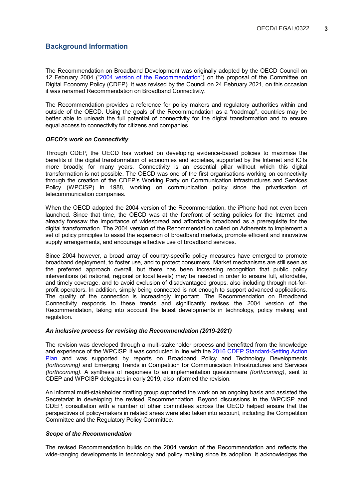# **Background Information**

The Recommendation on Broadband Development was originally adopted by the OECD Council on 12 February 2004 (["2004 version of the Recommendation"](/api/download/?uri=/public/fb0f855e-5904-4dea-9f07-55ac77428e24.pdf&name=OECD-LEGAL-0322%20(2004)-en.pdf)) on the proposal of the Committee on Digital Economy Policy (CDEP). It was revised by the Council on 24 February 2021, on this occasion it was renamed Recommendation on Broadband Connectivity.

The Recommendation provides a reference for policy makers and regulatory authorities within and outside of the OECD. Using the goals of the Recommendation as a "roadmap", countries may be better able to unleash the full potential of connectivity for the digital transformation and to ensure equal access to connectivity for citizens and companies.

### *OECD's work on Connectivity*

Through CDEP, the OECD has worked on developing evidence-based policies to maximise the benefits of the digital transformation of economies and societies, supported by the Internet and ICTs more broadly, for many years. Connectivity is an essential pillar without which this digital transformation is not possible. The OECD was one of the first organisations working on connectivity through the creation of the CDEP's Working Party on Communication Infrastructures and Services Policy (WPCISP) in 1988, working on communication policy since the privatisation of telecommunication companies.

When the OECD adopted the 2004 version of the Recommendation, the iPhone had not even been launched. Since that time, the OECD was at the forefront of setting policies for the Internet and already foresaw the importance of widespread and affordable broadband as a prerequisite for the digital transformation. The 2004 version of the Recommendation called on Adherents to implement a set of policy principles to assist the expansion of broadband markets, promote efficient and innovative supply arrangements, and encourage effective use of broadband services.

Since 2004 however, a broad array of country-specific policy measures have emerged to promote broadband deployment, to foster use, and to protect consumers. Market mechanisms are still seen as the preferred approach overall, but there has been increasing recognition that public policy interventions (at national, regional or local levels) may be needed in order to ensure full, affordable, and timely coverage, and to avoid exclusion of disadvantaged groups, also including through not-forprofit operators. In addition, simply being connected is not enough to support advanced applications. The quality of the connection is increasingly important. The Recommendation on Broadband Connectivity responds to these trends and significantly revises the 2004 version of the Recommendation, taking into account the latest developments in technology, policy making and regulation.

### *An inclusive process for revising the Recommendation (2019-2021)*

The revision was developed through a multi-stakeholder process and benefitted from the knowledge [and experience of the WPCISP. It was conducted in line with the 2016 CDEP Standard-Setting Action](https://one.oecd.org/document/DSTI/CDEP(2016)8/en/pdf) Plan and was supported by reports on Broadband Policy and Technology Developments *(forthcoming)* and Emerging Trends in Competition for Communication Infrastructures and Services *(forthcoming)*. A synthesis of responses to an implementation questionnaire *(forthcoming)*, sent to CDEP and WPCISP delegates in early 2019, also informed the revision.

An informal multi-stakeholder drafting group supported the work on an ongoing basis and assisted the Secretariat in developing the revised Recommendation. Beyond discussions in the WPCISP and CDEP, consultation with a number of other committees across the OECD helped ensure that the perspectives of policy-makers in related areas were also taken into account, including the Competition Committee and the Regulatory Policy Committee.

### *Scope of the Recommendation*

The revised Recommendation builds on the 2004 version of the Recommendation and reflects the wide-ranging developments in technology and policy making since its adoption. It acknowledges the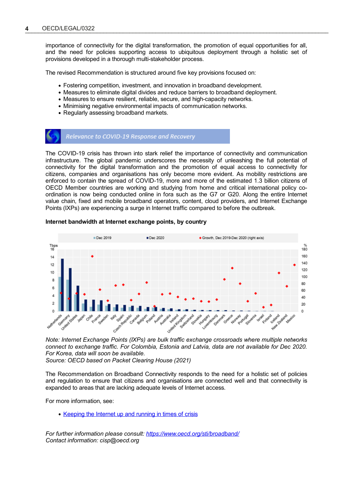importance of connectivity for the digital transformation, the promotion of equal opportunities for all, and the need for policies supporting access to ubiquitous deployment through a holistic set of provisions developed in a thorough multi-stakeholder process.

The revised Recommendation is structured around five key provisions focused on:

- Fostering competition, investment, and innovation in broadband development.
- Measures to eliminate digital divides and reduce barriers to broadband deployment.
- Measures to ensure resilient, reliable, secure, and high-capacity networks.
- Minimising negative environmental impacts of communication networks.
- Regularly assessing broadband markets.

## Relevance to COVID-19 Response and Recovery

The COVID-19 crisis has thrown into stark relief the importance of connectivity and communication infrastructure. The global pandemic underscores the necessity of unleashing the full potential of connectivity for the digital transformation and the promotion of equal access to connectivity for citizens, companies and organisations has only become more evident. As mobility restrictions are enforced to contain the spread of COVID-19, more and more of the estimated 1.3 billion citizens of OECD Member countries are working and studying from home and critical international policy coordination is now being conducted online in fora such as the G7 or G20. Along the entire Internet value chain, fixed and mobile broadband operators, content, cloud providers, and Internet Exchange Points (IXPs) are experiencing a surge in Internet traffic compared to before the outbreak.

### **Internet bandwidth at Internet exchange points, by country**



*Note: Internet Exchange Points (IXPs) are bulk traffic exchange crossroads where multiple networks connect to exchange traffic. For Colombia, Estonia and Latvia, data are not available for Dec 2020. For Korea, data will soon be available.*

*Source: OECD based on Packet Clearing House (2021)*

The Recommendation on Broadband Connectivity responds to the need for a holistic set of policies and regulation to ensure that citizens and organisations are connected well and that connectivity is expanded to areas that are lacking adequate levels of Internet access.

For more information, see:

• [Keeping the Internet up and running in times of crisis](http://www.oecd.org/coronavirus/policy-responses/keeping-the-internet-up-and-running-in-times-of-crisis-4017c4c9/#section-d1e279)

*For further information please consult:<https://www.oecd.org/sti/broadband/> Contact information: cisp@oecd.org*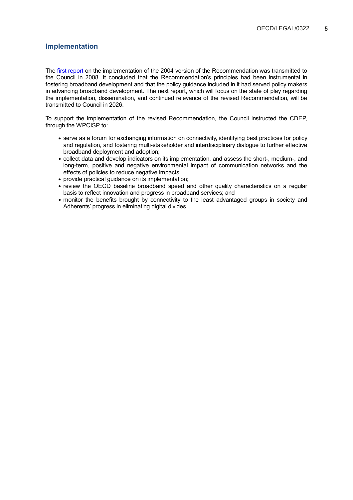## **Implementation**

The [first report](https://one.oecd.org/document/C(2008)51/en/pdf) on the implementation of the 2004 version of the Recommendation was transmitted to the Council in 2008. It concluded that the Recommendation's principles had been instrumental in fostering broadband development and that the policy guidance included in it had served policy makers in advancing broadband development. The next report, which will focus on the state of play regarding the implementation, dissemination, and continued relevance of the revised Recommendation, will be transmitted to Council in 2026.

To support the implementation of the revised Recommendation, the Council instructed the CDEP, through the WPCISP to:

- serve as a forum for exchanging information on connectivity, identifying best practices for policy and regulation, and fostering multi-stakeholder and interdisciplinary dialogue to further effective broadband deployment and adoption;
- collect data and develop indicators on its implementation, and assess the short-, medium-, and long-term, positive and negative environmental impact of communication networks and the effects of policies to reduce negative impacts;
- provide practical guidance on its implementation;
- review the OECD baseline broadband speed and other quality characteristics on a regular basis to reflect innovation and progress in broadband services; and
- monitor the benefits brought by connectivity to the least advantaged groups in society and Adherents' progress in eliminating digital divides.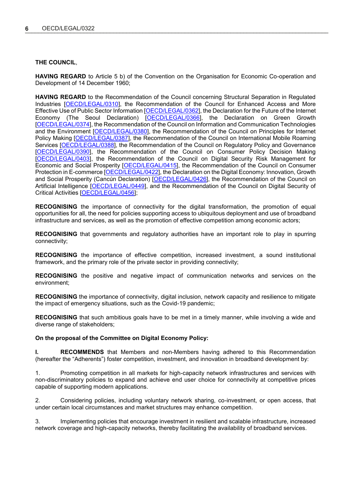## **THE COUNCIL**,

**HAVING REGARD** to Article 5 b) of the Convention on the Organisation for Economic Co-operation and Development of 14 December 1960;

**HAVING REGARD** to the Recommendation of the Council concerning Structural Separation in Regulated Industries [\[OECD/LEGAL/0310\]](https://legalinstruments.oecd.org/en/instruments/OECD-LEGAL-0310), the Recommendation of the Council for Enhanced Access and More Effective Use of Public Sector Information [\[OECD/LEGAL/0362\]](https://legalinstruments.oecd.org/en/instruments/OECD-LEGAL-0362), the Declaration for the Future of the Internet Economy (The Seoul Declaration) [\[OECD/LEGAL/0366\]](https://legalinstruments.oecd.org/en/instruments/OECD-LEGAL-0366), the Declaration on Green Growth [\[OECD/LEGAL/0374\],](https://legalinstruments.oecd.org/en/instruments/OECD-LEGAL-0374) the Recommendation of the Council on Information and Communication Technologies and the Environment [\[OECD/LEGAL/0380\]](https://legalinstruments.oecd.org/en/instruments/OECD-LEGAL-0380), the Recommendation of the Council on Principles for Internet Policy Making [\[OECD/LEGAL/0387\]](https://legalinstruments.oecd.org/en/instruments/OECD-LEGAL-0387), the Recommendation of the Council on International Mobile Roaming Services [\[OECD/LEGAL/0388\]](https://legalinstruments.oecd.org/en/instruments/OECD-LEGAL-0388), the Recommendation of the Council on Regulatory Policy and Governance [\[OECD/LEGAL/0390\],](https://legalinstruments.oecd.org/en/instruments/OECD-LEGAL-0390) the Recommendation of the Council on Consumer Policy Decision Making [\[OECD/LEGAL/0403\],](https://legalinstruments.oecd.org/en/instruments/OECD-LEGAL-0403) the Recommendation of the Council on Digital Security Risk Management for Economic and Social Prosperity [\[OECD/LEGAL/0415\]](https://legalinstruments.oecd.org/en/instruments/OECD-LEGAL-0415), the Recommendation of the Council on Consumer Protection in E-commerce [\[OECD/LEGAL/0422\]](https://legalinstruments.oecd.org/en/instruments/OECD-LEGAL-0422), the Declaration on the Digital Economy: Innovation, Growth and Social Prosperity (Cancún Declaration) [\[OECD/LEGAL/0426\]](https://legalinstruments.oecd.org/en/instruments/OECD-LEGAL-0426), the Recommendation of the Council on Artificial Intelligence [\[OECD/LEGAL/0449\]](https://legalinstruments.oecd.org/en/instruments/OECD-LEGAL-0449), and the Recommendation of the Council on Digital Security of Critical Activities [\[OECD/LEGAL/0456\]](https://legalinstruments.oecd.org/en/instruments/OECD-LEGAL-0456);

**RECOGNISING** the importance of connectivity for the digital transformation, the promotion of equal opportunities for all, the need for policies supporting access to ubiquitous deployment and use of broadband infrastructure and services, as well as the promotion of effective competition among economic actors;

**RECOGNISING** that governments and regulatory authorities have an important role to play in spurring connectivity;

**RECOGNISING** the importance of effective competition, increased investment, a sound institutional framework, and the primary role of the private sector in providing connectivity;

**RECOGNISING** the positive and negative impact of communication networks and services on the environment;

**RECOGNISING** the importance of connectivity, digital inclusion, network capacity and resilience to mitigate the impact of emergency situations, such as the Covid-19 pandemic;

**RECOGNISING** that such ambitious goals have to be met in a timely manner, while involving a wide and diverse range of stakeholders;

#### **On the proposal of the Committee on Digital Economy Policy:**

**I. RECOMMENDS** that Members and non-Members having adhered to this Recommendation (hereafter the "Adherents") foster competition, investment, and innovation in broadband development by:

1. Promoting competition in all markets for high-capacity network infrastructures and services with non-discriminatory policies to expand and achieve end user choice for connectivity at competitive prices capable of supporting modern applications.

2. Considering policies, including voluntary network sharing, co-investment, or open access, that under certain local circumstances and market structures may enhance competition.

Implementing policies that encourage investment in resilient and scalable infrastructure, increased network coverage and high-capacity networks, thereby facilitating the availability of broadband services.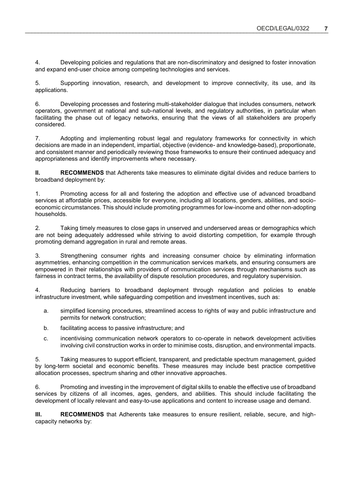4. Developing policies and regulations that are non-discriminatory and designed to foster innovation and expand end-user choice among competing technologies and services.

5. Supporting innovation, research, and development to improve connectivity, its use, and its applications.

6. Developing processes and fostering multi-stakeholder dialogue that includes consumers, network operators, government at national and sub-national levels, and regulatory authorities, in particular when facilitating the phase out of legacy networks, ensuring that the views of all stakeholders are properly considered.

7. Adopting and implementing robust legal and regulatory frameworks for connectivity in which decisions are made in an independent, impartial, objective (evidence- and knowledge-based), proportionate, and consistent manner and periodically reviewing those frameworks to ensure their continued adequacy and appropriateness and identify improvements where necessary.

**II.** RECOMMENDS that Adherents take measures to eliminate digital divides and reduce barriers to broadband deployment by:

1. Promoting access for all and fostering the adoption and effective use of advanced broadband services at affordable prices, accessible for everyone, including all locations, genders, abilities, and socioeconomic circumstances. This should include promoting programmes for low-income and other non-adopting households.

2. Taking timely measures to close gaps in unserved and underserved areas or demographics which are not being adequately addressed while striving to avoid distorting competition, for example through promoting demand aggregation in rural and remote areas.

3. Strengthening consumer rights and increasing consumer choice by eliminating information asymmetries, enhancing competition in the communication services markets, and ensuring consumers are empowered in their relationships with providers of communication services through mechanisms such as fairness in contract terms, the availability of dispute resolution procedures, and regulatory supervision.

4. Reducing barriers to broadband deployment through regulation and policies to enable infrastructure investment, while safeguarding competition and investment incentives, such as:

- a. simplified licensing procedures, streamlined access to rights of way and public infrastructure and permits for network construction;
- b. facilitating access to passive infrastructure; and
- c. incentivising communication network operators to co-operate in network development activities involving civil construction works in order to minimise costs, disruption, and environmental impacts.

5. Taking measures to support efficient, transparent, and predictable spectrum management, guided by long-term societal and economic benefits. These measures may include best practice competitive allocation processes, spectrum sharing and other innovative approaches.

6. Promoting and investing in the improvement of digital skills to enable the effective use of broadband services by citizens of all incomes, ages, genders, and abilities. This should include facilitating the development of locally relevant and easy-to-use applications and content to increase usage and demand.

**III. RECOMMENDS** that Adherents take measures to ensure resilient, reliable, secure, and highcapacity networks by: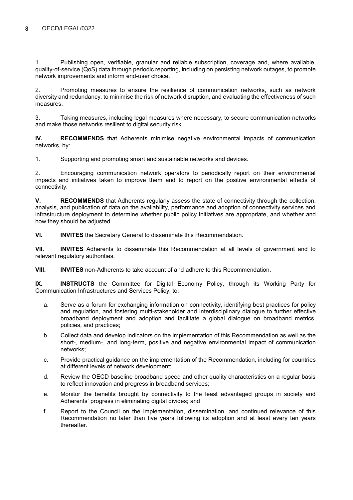1. Publishing open, verifiable, granular and reliable subscription, coverage and, where available, quality-of-service (QoS) data through periodic reporting, including on persisting network outages, to promote network improvements and inform end-user choice.

2. Promoting measures to ensure the resilience of communication networks, such as network diversity and redundancy, to minimise the risk of network disruption, and evaluating the effectiveness of such measures.

3. Taking measures, including legal measures where necessary, to secure communication networks and make those networks resilient to digital security risk.

**IV. RECOMMENDS** that Adherents minimise negative environmental impacts of communication networks, by:

1. Supporting and promoting smart and sustainable networks and devices.

2. Encouraging communication network operators to periodically report on their environmental impacts and initiatives taken to improve them and to report on the positive environmental effects of connectivity.

**V. RECOMMENDS** that Adherents regularly assess the state of connectivity through the collection, analysis, and publication of data on the availability, performance and adoption of connectivity services and infrastructure deployment to determine whether public policy initiatives are appropriate, and whether and how they should be adjusted.

**VI. INVITES** the Secretary General to disseminate this Recommendation.

**VII. INVITES** Adherents to disseminate this Recommendation at all levels of government and to relevant regulatory authorities.

**VIII. INVITES** non-Adherents to take account of and adhere to this Recommendation.

**IX. INSTRUCTS** the Committee for Digital Economy Policy, through its Working Party for Communication Infrastructures and Services Policy, to:

- a. Serve as a forum for exchanging information on connectivity, identifying best practices for policy and regulation, and fostering multi-stakeholder and interdisciplinary dialogue to further effective broadband deployment and adoption and facilitate a global dialogue on broadband metrics, policies, and practices;
- b. Collect data and develop indicators on the implementation of this Recommendation as well as the short-, medium-, and long-term, positive and negative environmental impact of communication networks;
- c. Provide practical guidance on the implementation of the Recommendation, including for countries at different levels of network development;
- d. Review the OECD baseline broadband speed and other quality characteristics on a regular basis to reflect innovation and progress in broadband services;
- e. Monitor the benefits brought by connectivity to the least advantaged groups in society and Adherents' progress in eliminating digital divides; and
- f. Report to the Council on the implementation, dissemination, and continued relevance of this Recommendation no later than five years following its adoption and at least every ten years thereafter.